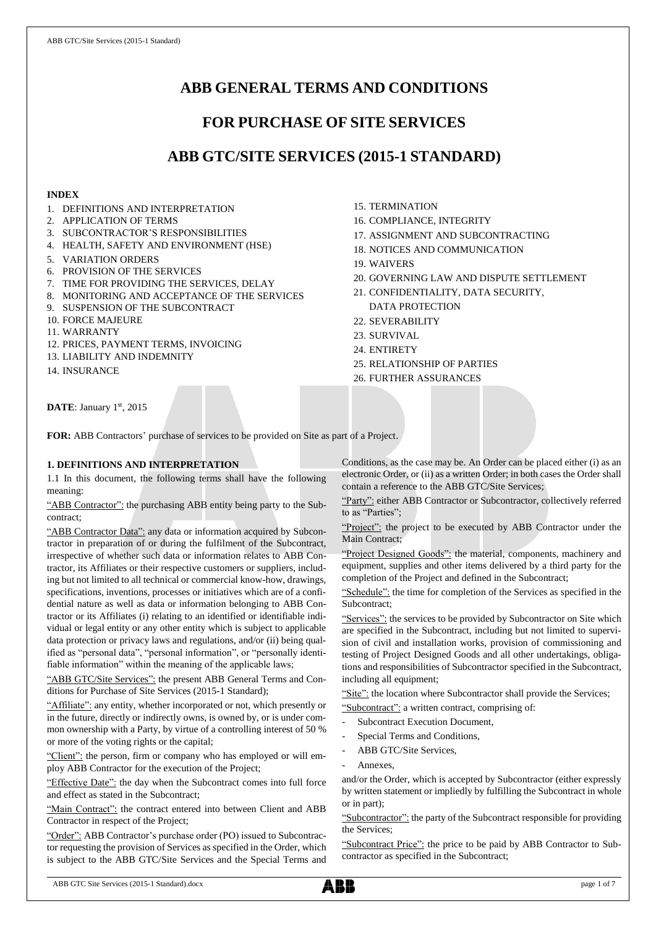# **ABB GENERAL TERMS AND CONDITIONS**

# **FOR PURCHASE OF SITE SERVICES**

# **ABB GTC/SITE SERVICES (2015-1 STANDARD)**

## **INDEX**

- 1. DEFINITIONS AND INTERPRETATION
- 2. APPLICATION OF TERMS
- 3. SUBCONTRACTOR'S RESPONSIBILITIES
- 4. HEALTH, SAFETY AND ENVIRONMENT (HSE)
- 5. VARIATION ORDERS
- 6. PROVISION OF THE SERVICES
- 7. TIME FOR PROVIDING THE SERVICES, DELAY
- 8. MONITORING AND ACCEPTANCE OF THE SERVICES
- 9. SUSPENSION OF THE SUBCONTRACT
- 10. FORCE MAJEURE
- 11. WARRANTY
- 12. PRICES, PAYMENT TERMS, INVOICING
- 13. LIABILITY AND INDEMNITY
- 14. INSURANCE
- 15. TERMINATION
- 16. COMPLIANCE, INTEGRITY
- 17. ASSIGNMENT AND SUBCONTRACTING
- 18. NOTICES AND COMMUNICATION
- 19. WAIVERS
- 20. GOVERNING LAW AND DISPUTE SETTLEMENT
- 21. CONFIDENTIALITY, DATA SECURITY, DATA PROTECTION
- 22. SEVERABILITY
- 23. SURVIVAL
- 24. ENTIRETY
- 25. RELATIONSHIP OF PARTIES
- 26. FURTHER ASSURANCES

DATE: January 1st, 2015

**FOR:** ABB Contractors' purchase of services to be provided on Site as part of a Project.

# **1. DEFINITIONS AND INTERPRETATION**

1.1 In this document, the following terms shall have the following meaning:

"ABB Contractor": the purchasing ABB entity being party to the Subcontract;

"ABB Contractor Data": any data or information acquired by Subcontractor in preparation of or during the fulfilment of the Subcontract, irrespective of whether such data or information relates to ABB Contractor, its Affiliates or their respective customers or suppliers, including but not limited to all technical or commercial know-how, drawings, specifications, inventions, processes or initiatives which are of a confidential nature as well as data or information belonging to ABB Contractor or its Affiliates (i) relating to an identified or identifiable individual or legal entity or any other entity which is subject to applicable data protection or privacy laws and regulations, and/or (ii) being qualified as "personal data", "personal information", or "personally identifiable information" within the meaning of the applicable laws;

"ABB GTC/Site Services": the present ABB General Terms and Conditions for Purchase of Site Services (2015-1 Standard);

"Affiliate": any entity, whether incorporated or not, which presently or in the future, directly or indirectly owns, is owned by, or is under common ownership with a Party, by virtue of a controlling interest of 50 % or more of the voting rights or the capital;

"Client": the person, firm or company who has employed or will employ ABB Contractor for the execution of the Project;

"Effective Date": the day when the Subcontract comes into full force and effect as stated in the Subcontract;

"Main Contract": the contract entered into between Client and ABB Contractor in respect of the Project;

"Order": ABB Contractor's purchase order (PO) issued to Subcontractor requesting the provision of Services as specified in the Order, which is subject to the ABB GTC/Site Services and the Special Terms and Conditions, as the case may be. An Order can be placed either (i) as an electronic Order, or (ii) as a written Order; in both cases the Order shall contain a reference to the ABB GTC/Site Services;

"Party": either ABB Contractor or Subcontractor, collectively referred to as "Parties";

"Project": the project to be executed by ABB Contractor under the Main Contract;

"Project Designed Goods": the material, components, machinery and equipment, supplies and other items delivered by a third party for the completion of the Project and defined in the Subcontract;

"Schedule": the time for completion of the Services as specified in the Subcontract;

"Services": the services to be provided by Subcontractor on Site which are specified in the Subcontract, including but not limited to supervision of civil and installation works, provision of commissioning and testing of Project Designed Goods and all other undertakings, obligations and responsibilities of Subcontractor specified in the Subcontract, including all equipment;

"Site": the location where Subcontractor shall provide the Services; "Subcontract": a written contract, comprising of:

- Subcontract Execution Document,
- Special Terms and Conditions,
- ABB GTC/Site Services,
- Annexes.

and/or the Order, which is accepted by Subcontractor (either expressly by written statement or impliedly by fulfilling the Subcontract in whole or in part);

"Subcontractor": the party of the Subcontract responsible for providing the Services;

"Subcontract Price": the price to be paid by ABB Contractor to Subcontractor as specified in the Subcontract;

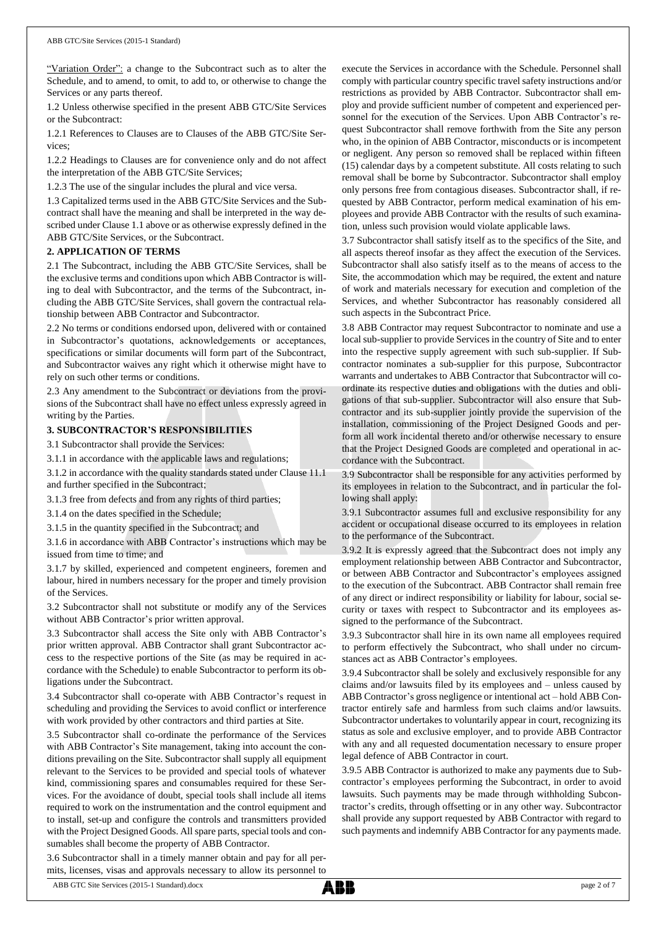"Variation Order": a change to the Subcontract such as to alter the Schedule, and to amend, to omit, to add to, or otherwise to change the Services or any parts thereof.

1.2 Unless otherwise specified in the present ABB GTC/Site Services or the Subcontract:

1.2.1 References to Clauses are to Clauses of the ABB GTC/Site Services;

1.2.2 Headings to Clauses are for convenience only and do not affect the interpretation of the ABB GTC/Site Services;

1.2.3 The use of the singular includes the plural and vice versa.

1.3 Capitalized terms used in the ABB GTC/Site Services and the Subcontract shall have the meaning and shall be interpreted in the way described under Clause 1.1 above or as otherwise expressly defined in the ABB GTC/Site Services, or the Subcontract.

#### **2. APPLICATION OF TERMS**

2.1 The Subcontract, including the ABB GTC/Site Services, shall be the exclusive terms and conditions upon which ABB Contractor is willing to deal with Subcontractor, and the terms of the Subcontract, including the ABB GTC/Site Services, shall govern the contractual relationship between ABB Contractor and Subcontractor.

2.2 No terms or conditions endorsed upon, delivered with or contained in Subcontractor's quotations, acknowledgements or acceptances, specifications or similar documents will form part of the Subcontract, and Subcontractor waives any right which it otherwise might have to rely on such other terms or conditions.

2.3 Any amendment to the Subcontract or deviations from the provisions of the Subcontract shall have no effect unless expressly agreed in writing by the Parties.

## **3. SUBCONTRACTOR'S RESPONSIBILITIES**

3.1 Subcontractor shall provide the Services:

3.1.1 in accordance with the applicable laws and regulations;

3.1.2 in accordance with the quality standards stated under Clause 11.1 and further specified in the Subcontract;

3.1.3 free from defects and from any rights of third parties;

3.1.4 on the dates specified in the Schedule;

3.1.5 in the quantity specified in the Subcontract; and

3.1.6 in accordance with ABB Contractor's instructions which may be issued from time to time; and

3.1.7 by skilled, experienced and competent engineers, foremen and labour, hired in numbers necessary for the proper and timely provision of the Services.

3.2 Subcontractor shall not substitute or modify any of the Services without ABB Contractor's prior written approval.

3.3 Subcontractor shall access the Site only with ABB Contractor's prior written approval. ABB Contractor shall grant Subcontractor access to the respective portions of the Site (as may be required in accordance with the Schedule) to enable Subcontractor to perform its obligations under the Subcontract.

3.4 Subcontractor shall co-operate with ABB Contractor's request in scheduling and providing the Services to avoid conflict or interference with work provided by other contractors and third parties at Site.

3.5 Subcontractor shall co-ordinate the performance of the Services with ABB Contractor's Site management, taking into account the conditions prevailing on the Site. Subcontractor shall supply all equipment relevant to the Services to be provided and special tools of whatever kind, commissioning spares and consumables required for these Services. For the avoidance of doubt, special tools shall include all items required to work on the instrumentation and the control equipment and to install, set-up and configure the controls and transmitters provided with the Project Designed Goods. All spare parts, special tools and consumables shall become the property of ABB Contractor.

3.6 Subcontractor shall in a timely manner obtain and pay for all permits, licenses, visas and approvals necessary to allow its personnel to

execute the Services in accordance with the Schedule. Personnel shall comply with particular country specific travel safety instructions and/or restrictions as provided by ABB Contractor. Subcontractor shall employ and provide sufficient number of competent and experienced personnel for the execution of the Services. Upon ABB Contractor's request Subcontractor shall remove forthwith from the Site any person who, in the opinion of ABB Contractor, misconducts or is incompetent or negligent. Any person so removed shall be replaced within fifteen (15) calendar days by a competent substitute. All costs relating to such removal shall be borne by Subcontractor. Subcontractor shall employ only persons free from contagious diseases. Subcontractor shall, if requested by ABB Contractor, perform medical examination of his employees and provide ABB Contractor with the results of such examination, unless such provision would violate applicable laws.

3.7 Subcontractor shall satisfy itself as to the specifics of the Site, and all aspects thereof insofar as they affect the execution of the Services. Subcontractor shall also satisfy itself as to the means of access to the Site, the accommodation which may be required, the extent and nature of work and materials necessary for execution and completion of the Services, and whether Subcontractor has reasonably considered all such aspects in the Subcontract Price.

3.8 ABB Contractor may request Subcontractor to nominate and use a local sub-supplier to provide Services in the country of Site and to enter into the respective supply agreement with such sub-supplier. If Subcontractor nominates a sub-supplier for this purpose, Subcontractor warrants and undertakes to ABB Contractor that Subcontractor will coordinate its respective duties and obligations with the duties and obligations of that sub-supplier. Subcontractor will also ensure that Subcontractor and its sub-supplier jointly provide the supervision of the installation, commissioning of the Project Designed Goods and perform all work incidental thereto and/or otherwise necessary to ensure that the Project Designed Goods are completed and operational in accordance with the Subcontract.

3.9 Subcontractor shall be responsible for any activities performed by its employees in relation to the Subcontract, and in particular the following shall apply:

3.9.1 Subcontractor assumes full and exclusive responsibility for any accident or occupational disease occurred to its employees in relation to the performance of the Subcontract.

3.9.2 It is expressly agreed that the Subcontract does not imply any employment relationship between ABB Contractor and Subcontractor, or between ABB Contractor and Subcontractor's employees assigned to the execution of the Subcontract. ABB Contractor shall remain free of any direct or indirect responsibility or liability for labour, social security or taxes with respect to Subcontractor and its employees assigned to the performance of the Subcontract.

3.9.3 Subcontractor shall hire in its own name all employees required to perform effectively the Subcontract, who shall under no circumstances act as ABB Contractor's employees.

3.9.4 Subcontractor shall be solely and exclusively responsible for any claims and/or lawsuits filed by its employees and – unless caused by ABB Contractor's gross negligence or intentional act – hold ABB Contractor entirely safe and harmless from such claims and/or lawsuits. Subcontractor undertakes to voluntarily appear in court, recognizing its status as sole and exclusive employer, and to provide ABB Contractor with any and all requested documentation necessary to ensure proper legal defence of ABB Contractor in court.

3.9.5 ABB Contractor is authorized to make any payments due to Subcontractor's employees performing the Subcontract, in order to avoid lawsuits. Such payments may be made through withholding Subcontractor's credits, through offsetting or in any other way. Subcontractor shall provide any support requested by ABB Contractor with regard to such payments and indemnify ABB Contractor for any payments made.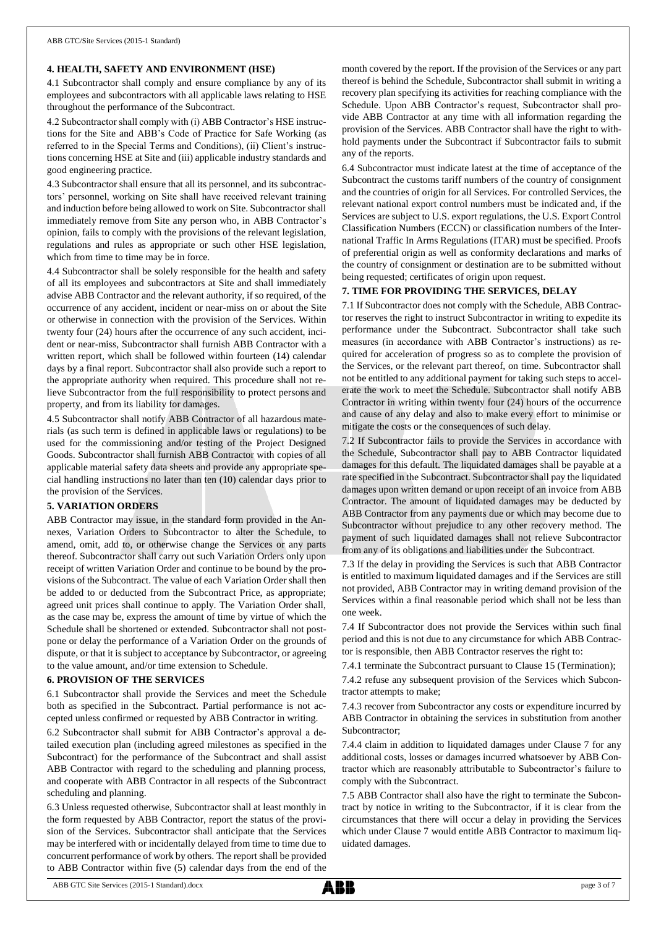#### **4. HEALTH, SAFETY AND ENVIRONMENT (HSE)**

4.1 Subcontractor shall comply and ensure compliance by any of its employees and subcontractors with all applicable laws relating to HSE throughout the performance of the Subcontract.

4.2 Subcontractor shall comply with (i) ABB Contractor's HSE instructions for the Site and ABB's Code of Practice for Safe Working (as referred to in the Special Terms and Conditions), (ii) Client's instructions concerning HSE at Site and (iii) applicable industry standards and good engineering practice.

4.3 Subcontractor shall ensure that all its personnel, and its subcontractors' personnel, working on Site shall have received relevant training and induction before being allowed to work on Site. Subcontractor shall immediately remove from Site any person who, in ABB Contractor's opinion, fails to comply with the provisions of the relevant legislation, regulations and rules as appropriate or such other HSE legislation, which from time to time may be in force.

4.4 Subcontractor shall be solely responsible for the health and safety of all its employees and subcontractors at Site and shall immediately advise ABB Contractor and the relevant authority, if so required, of the occurrence of any accident, incident or near-miss on or about the Site or otherwise in connection with the provision of the Services. Within twenty four (24) hours after the occurrence of any such accident, incident or near-miss, Subcontractor shall furnish ABB Contractor with a written report, which shall be followed within fourteen (14) calendar days by a final report. Subcontractor shall also provide such a report to the appropriate authority when required. This procedure shall not relieve Subcontractor from the full responsibility to protect persons and property, and from its liability for damages.

4.5 Subcontractor shall notify ABB Contractor of all hazardous materials (as such term is defined in applicable laws or regulations) to be used for the commissioning and/or testing of the Project Designed Goods. Subcontractor shall furnish ABB Contractor with copies of all applicable material safety data sheets and provide any appropriate special handling instructions no later than ten (10) calendar days prior to the provision of the Services.

#### **5. VARIATION ORDERS**

ABB Contractor may issue, in the standard form provided in the Annexes, Variation Orders to Subcontractor to alter the Schedule, to amend, omit, add to, or otherwise change the Services or any parts thereof. Subcontractor shall carry out such Variation Orders only upon receipt of written Variation Order and continue to be bound by the provisions of the Subcontract. The value of each Variation Order shall then be added to or deducted from the Subcontract Price, as appropriate; agreed unit prices shall continue to apply. The Variation Order shall, as the case may be, express the amount of time by virtue of which the Schedule shall be shortened or extended. Subcontractor shall not postpone or delay the performance of a Variation Order on the grounds of dispute, or that it is subject to acceptance by Subcontractor, or agreeing to the value amount, and/or time extension to Schedule.

#### **6. PROVISION OF THE SERVICES**

6.1 Subcontractor shall provide the Services and meet the Schedule both as specified in the Subcontract. Partial performance is not accepted unless confirmed or requested by ABB Contractor in writing.

6.2 Subcontractor shall submit for ABB Contractor's approval a detailed execution plan (including agreed milestones as specified in the Subcontract) for the performance of the Subcontract and shall assist ABB Contractor with regard to the scheduling and planning process, and cooperate with ABB Contractor in all respects of the Subcontract scheduling and planning.

6.3 Unless requested otherwise, Subcontractor shall at least monthly in the form requested by ABB Contractor, report the status of the provision of the Services. Subcontractor shall anticipate that the Services may be interfered with or incidentally delayed from time to time due to concurrent performance of work by others. The report shall be provided to ABB Contractor within five (5) calendar days from the end of the month covered by the report. If the provision of the Services or any part thereof is behind the Schedule, Subcontractor shall submit in writing a recovery plan specifying its activities for reaching compliance with the Schedule. Upon ABB Contractor's request, Subcontractor shall provide ABB Contractor at any time with all information regarding the provision of the Services. ABB Contractor shall have the right to withhold payments under the Subcontract if Subcontractor fails to submit any of the reports.

6.4 Subcontractor must indicate latest at the time of acceptance of the Subcontract the customs tariff numbers of the country of consignment and the countries of origin for all Services. For controlled Services, the relevant national export control numbers must be indicated and, if the Services are subject to U.S. export regulations, the U.S. Export Control Classification Numbers (ECCN) or classification numbers of the International Traffic In Arms Regulations (ITAR) must be specified. Proofs of preferential origin as well as conformity declarations and marks of the country of consignment or destination are to be submitted without being requested; certificates of origin upon request.

#### **7. TIME FOR PROVIDING THE SERVICES, DELAY**

7.1 If Subcontractor does not comply with the Schedule, ABB Contractor reserves the right to instruct Subcontractor in writing to expedite its performance under the Subcontract. Subcontractor shall take such measures (in accordance with ABB Contractor's instructions) as required for acceleration of progress so as to complete the provision of the Services, or the relevant part thereof, on time. Subcontractor shall not be entitled to any additional payment for taking such steps to accelerate the work to meet the Schedule. Subcontractor shall notify ABB Contractor in writing within twenty four (24) hours of the occurrence and cause of any delay and also to make every effort to minimise or mitigate the costs or the consequences of such delay.

7.2 If Subcontractor fails to provide the Services in accordance with the Schedule, Subcontractor shall pay to ABB Contractor liquidated damages for this default. The liquidated damages shall be payable at a rate specified in the Subcontract. Subcontractor shall pay the liquidated damages upon written demand or upon receipt of an invoice from ABB Contractor. The amount of liquidated damages may be deducted by ABB Contractor from any payments due or which may become due to Subcontractor without prejudice to any other recovery method. The payment of such liquidated damages shall not relieve Subcontractor from any of its obligations and liabilities under the Subcontract.

7.3 If the delay in providing the Services is such that ABB Contractor is entitled to maximum liquidated damages and if the Services are still not provided, ABB Contractor may in writing demand provision of the Services within a final reasonable period which shall not be less than one week.

7.4 If Subcontractor does not provide the Services within such final period and this is not due to any circumstance for which ABB Contractor is responsible, then ABB Contractor reserves the right to:

7.4.1 terminate the Subcontract pursuant to Clause 15 (Termination);

7.4.2 refuse any subsequent provision of the Services which Subcontractor attempts to make;

7.4.3 recover from Subcontractor any costs or expenditure incurred by ABB Contractor in obtaining the services in substitution from another Subcontractor;

7.4.4 claim in addition to liquidated damages under Clause 7 for any additional costs, losses or damages incurred whatsoever by ABB Contractor which are reasonably attributable to Subcontractor's failure to comply with the Subcontract.

7.5 ABB Contractor shall also have the right to terminate the Subcontract by notice in writing to the Subcontractor, if it is clear from the circumstances that there will occur a delay in providing the Services which under Clause 7 would entitle ABB Contractor to maximum liquidated damages.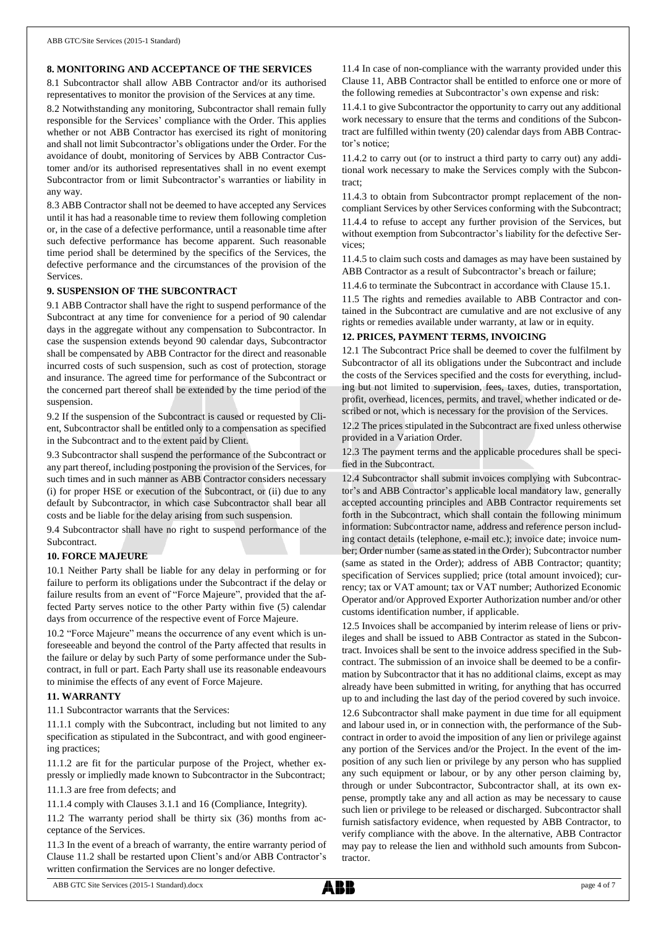### **8. MONITORING AND ACCEPTANCE OF THE SERVICES**

8.1 Subcontractor shall allow ABB Contractor and/or its authorised representatives to monitor the provision of the Services at any time.

8.2 Notwithstanding any monitoring, Subcontractor shall remain fully responsible for the Services' compliance with the Order. This applies whether or not ABB Contractor has exercised its right of monitoring and shall not limit Subcontractor's obligations under the Order. For the avoidance of doubt, monitoring of Services by ABB Contractor Customer and/or its authorised representatives shall in no event exempt Subcontractor from or limit Subcontractor's warranties or liability in any way.

8.3 ABB Contractor shall not be deemed to have accepted any Services until it has had a reasonable time to review them following completion or, in the case of a defective performance, until a reasonable time after such defective performance has become apparent. Such reasonable time period shall be determined by the specifics of the Services, the defective performance and the circumstances of the provision of the Services.

#### **9. SUSPENSION OF THE SUBCONTRACT**

9.1 ABB Contractor shall have the right to suspend performance of the Subcontract at any time for convenience for a period of 90 calendar days in the aggregate without any compensation to Subcontractor. In case the suspension extends beyond 90 calendar days, Subcontractor shall be compensated by ABB Contractor for the direct and reasonable incurred costs of such suspension, such as cost of protection, storage and insurance. The agreed time for performance of the Subcontract or the concerned part thereof shall be extended by the time period of the suspension.

9.2 If the suspension of the Subcontract is caused or requested by Client, Subcontractor shall be entitled only to a compensation as specified in the Subcontract and to the extent paid by Client.

9.3 Subcontractor shall suspend the performance of the Subcontract or any part thereof, including postponing the provision of the Services, for such times and in such manner as ABB Contractor considers necessary (i) for proper HSE or execution of the Subcontract, or (ii) due to any default by Subcontractor, in which case Subcontractor shall bear all costs and be liable for the delay arising from such suspension.

9.4 Subcontractor shall have no right to suspend performance of the **Subcontract.** 

#### **10. FORCE MAJEURE**

10.1 Neither Party shall be liable for any delay in performing or for failure to perform its obligations under the Subcontract if the delay or failure results from an event of "Force Majeure", provided that the affected Party serves notice to the other Party within five (5) calendar days from occurrence of the respective event of Force Majeure.

10.2 "Force Majeure" means the occurrence of any event which is unforeseeable and beyond the control of the Party affected that results in the failure or delay by such Party of some performance under the Subcontract, in full or part. Each Party shall use its reasonable endeavours to minimise the effects of any event of Force Majeure.

### **11. WARRANTY**

11.1 Subcontractor warrants that the Services:

11.1.1 comply with the Subcontract, including but not limited to any specification as stipulated in the Subcontract, and with good engineering practices;

11.1.2 are fit for the particular purpose of the Project, whether expressly or impliedly made known to Subcontractor in the Subcontract;

11.1.3 are free from defects; and

11.1.4 comply with Clauses 3.1.1 and 16 (Compliance, Integrity).

11.2 The warranty period shall be thirty six (36) months from acceptance of the Services.

11.3 In the event of a breach of warranty, the entire warranty period of Clause 11.2 shall be restarted upon Client's and/or ABB Contractor's written confirmation the Services are no longer defective.

11.4 In case of non-compliance with the warranty provided under this Clause 11, ABB Contractor shall be entitled to enforce one or more of the following remedies at Subcontractor's own expense and risk:

11.4.1 to give Subcontractor the opportunity to carry out any additional work necessary to ensure that the terms and conditions of the Subcontract are fulfilled within twenty (20) calendar days from ABB Contractor's notice;

11.4.2 to carry out (or to instruct a third party to carry out) any additional work necessary to make the Services comply with the Subcontract;

11.4.3 to obtain from Subcontractor prompt replacement of the noncompliant Services by other Services conforming with the Subcontract; 11.4.4 to refuse to accept any further provision of the Services, but without exemption from Subcontractor's liability for the defective Services;

11.4.5 to claim such costs and damages as may have been sustained by ABB Contractor as a result of Subcontractor's breach or failure;

11.4.6 to terminate the Subcontract in accordance with Clause 15.1.

11.5 The rights and remedies available to ABB Contractor and contained in the Subcontract are cumulative and are not exclusive of any rights or remedies available under warranty, at law or in equity.

#### **12. PRICES, PAYMENT TERMS, INVOICING**

12.1 The Subcontract Price shall be deemed to cover the fulfilment by Subcontractor of all its obligations under the Subcontract and include the costs of the Services specified and the costs for everything, including but not limited to supervision, fees, taxes, duties, transportation, profit, overhead, licences, permits, and travel, whether indicated or described or not, which is necessary for the provision of the Services.

12.2 The prices stipulated in the Subcontract are fixed unless otherwise provided in a Variation Order.

12.3 The payment terms and the applicable procedures shall be specified in the Subcontract.

12.4 Subcontractor shall submit invoices complying with Subcontractor's and ABB Contractor's applicable local mandatory law, generally accepted accounting principles and ABB Contractor requirements set forth in the Subcontract, which shall contain the following minimum information: Subcontractor name, address and reference person including contact details (telephone, e-mail etc.); invoice date; invoice number; Order number (same as stated in the Order); Subcontractor number (same as stated in the Order); address of ABB Contractor; quantity; specification of Services supplied; price (total amount invoiced); currency; tax or VAT amount; tax or VAT number; Authorized Economic Operator and/or Approved Exporter Authorization number and/or other customs identification number, if applicable.

12.5 Invoices shall be accompanied by interim release of liens or privileges and shall be issued to ABB Contractor as stated in the Subcontract. Invoices shall be sent to the invoice address specified in the Subcontract. The submission of an invoice shall be deemed to be a confirmation by Subcontractor that it has no additional claims, except as may already have been submitted in writing, for anything that has occurred up to and including the last day of the period covered by such invoice.

12.6 Subcontractor shall make payment in due time for all equipment and labour used in, or in connection with, the performance of the Subcontract in order to avoid the imposition of any lien or privilege against any portion of the Services and/or the Project. In the event of the imposition of any such lien or privilege by any person who has supplied any such equipment or labour, or by any other person claiming by, through or under Subcontractor, Subcontractor shall, at its own expense, promptly take any and all action as may be necessary to cause such lien or privilege to be released or discharged. Subcontractor shall furnish satisfactory evidence, when requested by ABB Contractor, to verify compliance with the above. In the alternative, ABB Contractor may pay to release the lien and withhold such amounts from Subcontractor.

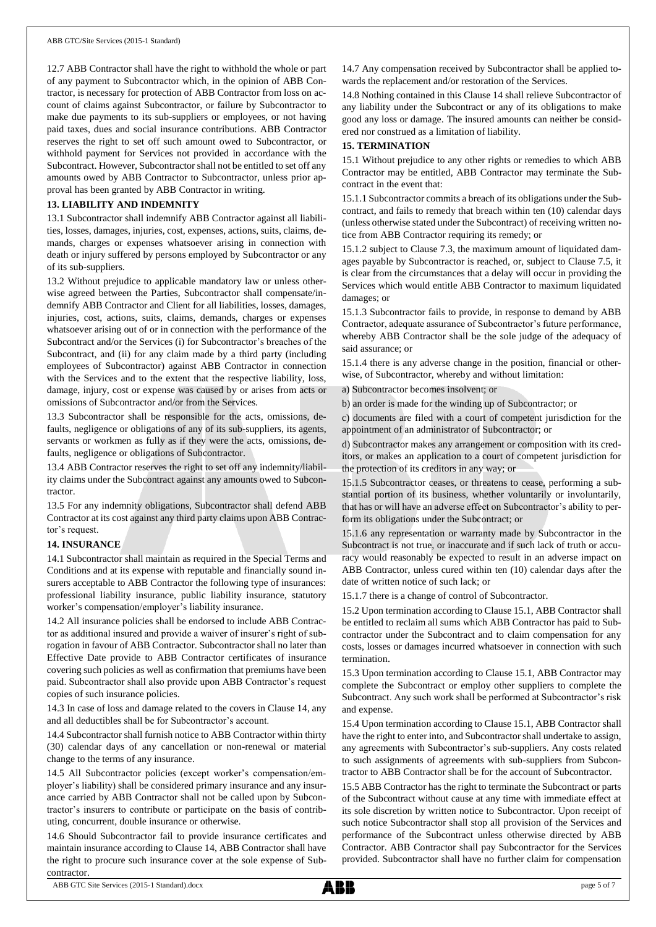12.7 ABB Contractor shall have the right to withhold the whole or part of any payment to Subcontractor which, in the opinion of ABB Contractor, is necessary for protection of ABB Contractor from loss on account of claims against Subcontractor, or failure by Subcontractor to make due payments to its sub-suppliers or employees, or not having paid taxes, dues and social insurance contributions. ABB Contractor reserves the right to set off such amount owed to Subcontractor, or withhold payment for Services not provided in accordance with the Subcontract. However, Subcontractor shall not be entitled to set off any amounts owed by ABB Contractor to Subcontractor, unless prior approval has been granted by ABB Contractor in writing.

# **13. LIABILITY AND INDEMNITY**

13.1 Subcontractor shall indemnify ABB Contractor against all liabilities, losses, damages, injuries, cost, expenses, actions, suits, claims, demands, charges or expenses whatsoever arising in connection with death or injury suffered by persons employed by Subcontractor or any of its sub-suppliers.

13.2 Without prejudice to applicable mandatory law or unless otherwise agreed between the Parties, Subcontractor shall compensate/indemnify ABB Contractor and Client for all liabilities, losses, damages, injuries, cost, actions, suits, claims, demands, charges or expenses whatsoever arising out of or in connection with the performance of the Subcontract and/or the Services (i) for Subcontractor's breaches of the Subcontract, and (ii) for any claim made by a third party (including employees of Subcontractor) against ABB Contractor in connection with the Services and to the extent that the respective liability, loss, damage, injury, cost or expense was caused by or arises from acts or omissions of Subcontractor and/or from the Services.

13.3 Subcontractor shall be responsible for the acts, omissions, defaults, negligence or obligations of any of its sub-suppliers, its agents, servants or workmen as fully as if they were the acts, omissions, defaults, negligence or obligations of Subcontractor.

13.4 ABB Contractor reserves the right to set off any indemnity/liability claims under the Subcontract against any amounts owed to Subcontractor.

13.5 For any indemnity obligations, Subcontractor shall defend ABB Contractor at its cost against any third party claims upon ABB Contractor's request.

#### **14. INSURANCE**

14.1 Subcontractor shall maintain as required in the Special Terms and Conditions and at its expense with reputable and financially sound insurers acceptable to ABB Contractor the following type of insurances: professional liability insurance, public liability insurance, statutory worker's compensation/employer's liability insurance.

14.2 All insurance policies shall be endorsed to include ABB Contractor as additional insured and provide a waiver of insurer's right of subrogation in favour of ABB Contractor. Subcontractor shall no later than Effective Date provide to ABB Contractor certificates of insurance covering such policies as well as confirmation that premiums have been paid. Subcontractor shall also provide upon ABB Contractor's request copies of such insurance policies.

14.3 In case of loss and damage related to the covers in Clause 14, any and all deductibles shall be for Subcontractor's account.

14.4 Subcontractor shall furnish notice to ABB Contractor within thirty (30) calendar days of any cancellation or non-renewal or material change to the terms of any insurance.

14.5 All Subcontractor policies (except worker's compensation/employer's liability) shall be considered primary insurance and any insurance carried by ABB Contractor shall not be called upon by Subcontractor's insurers to contribute or participate on the basis of contributing, concurrent, double insurance or otherwise.

14.6 Should Subcontractor fail to provide insurance certificates and maintain insurance according to Clause 14, ABB Contractor shall have the right to procure such insurance cover at the sole expense of Subcontractor.

14.7 Any compensation received by Subcontractor shall be applied towards the replacement and/or restoration of the Services.

14.8 Nothing contained in this Clause 14 shall relieve Subcontractor of any liability under the Subcontract or any of its obligations to make good any loss or damage. The insured amounts can neither be considered nor construed as a limitation of liability.

#### **15. TERMINATION**

15.1 Without prejudice to any other rights or remedies to which ABB Contractor may be entitled, ABB Contractor may terminate the Subcontract in the event that:

15.1.1 Subcontractor commits a breach of its obligations under the Subcontract, and fails to remedy that breach within ten (10) calendar days (unless otherwise stated under the Subcontract) of receiving written notice from ABB Contractor requiring its remedy; or

15.1.2 subject to Clause 7.3, the maximum amount of liquidated damages payable by Subcontractor is reached, or, subject to Clause 7.5, it is clear from the circumstances that a delay will occur in providing the Services which would entitle ABB Contractor to maximum liquidated damages; or

15.1.3 Subcontractor fails to provide, in response to demand by ABB Contractor, adequate assurance of Subcontractor's future performance, whereby ABB Contractor shall be the sole judge of the adequacy of said assurance; or

15.1.4 there is any adverse change in the position, financial or otherwise, of Subcontractor, whereby and without limitation:

a) Subcontractor becomes insolvent; or

b) an order is made for the winding up of Subcontractor; or

c) documents are filed with a court of competent jurisdiction for the appointment of an administrator of Subcontractor; or

d) Subcontractor makes any arrangement or composition with its creditors, or makes an application to a court of competent jurisdiction for the protection of its creditors in any way; or

15.1.5 Subcontractor ceases, or threatens to cease, performing a substantial portion of its business, whether voluntarily or involuntarily, that has or will have an adverse effect on Subcontractor's ability to perform its obligations under the Subcontract; or

15.1.6 any representation or warranty made by Subcontractor in the Subcontract is not true, or inaccurate and if such lack of truth or accuracy would reasonably be expected to result in an adverse impact on ABB Contractor, unless cured within ten (10) calendar days after the date of written notice of such lack; or

15.1.7 there is a change of control of Subcontractor.

15.2 Upon termination according to Clause 15.1, ABB Contractor shall be entitled to reclaim all sums which ABB Contractor has paid to Subcontractor under the Subcontract and to claim compensation for any costs, losses or damages incurred whatsoever in connection with such termination.

15.3 Upon termination according to Clause 15.1, ABB Contractor may complete the Subcontract or employ other suppliers to complete the Subcontract. Any such work shall be performed at Subcontractor's risk and expense.

15.4 Upon termination according to Clause 15.1, ABB Contractor shall have the right to enter into, and Subcontractor shall undertake to assign, any agreements with Subcontractor's sub-suppliers. Any costs related to such assignments of agreements with sub-suppliers from Subcontractor to ABB Contractor shall be for the account of Subcontractor.

15.5 ABB Contractor has the right to terminate the Subcontract or parts of the Subcontract without cause at any time with immediate effect at its sole discretion by written notice to Subcontractor. Upon receipt of such notice Subcontractor shall stop all provision of the Services and performance of the Subcontract unless otherwise directed by ABB Contractor. ABB Contractor shall pay Subcontractor for the Services provided. Subcontractor shall have no further claim for compensation

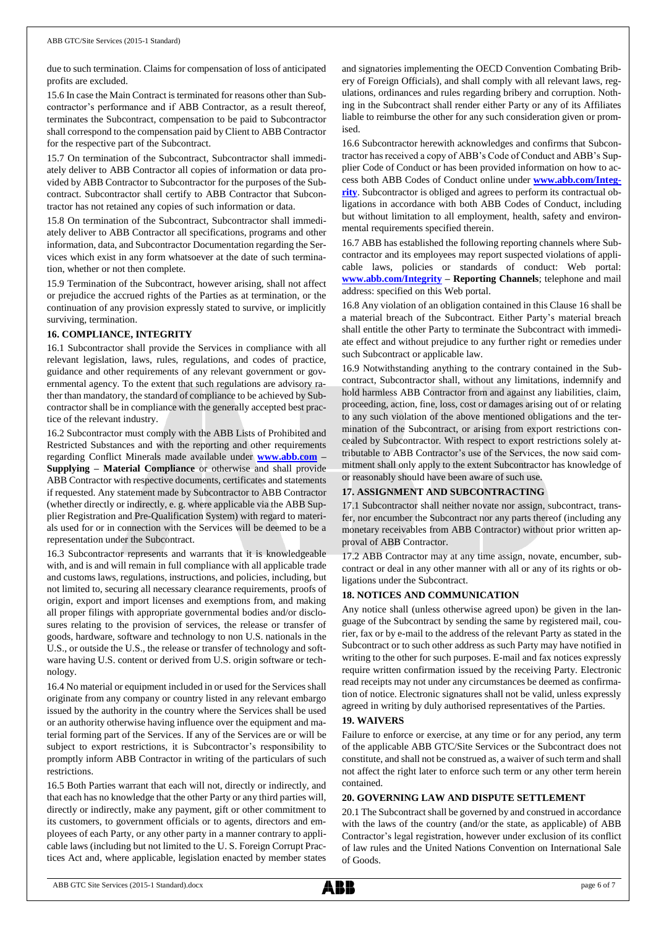due to such termination. Claims for compensation of loss of anticipated profits are excluded.

15.6 In case the Main Contract is terminated for reasons other than Subcontractor's performance and if ABB Contractor, as a result thereof, terminates the Subcontract, compensation to be paid to Subcontractor shall correspond to the compensation paid by Client to ABB Contractor for the respective part of the Subcontract.

15.7 On termination of the Subcontract, Subcontractor shall immediately deliver to ABB Contractor all copies of information or data provided by ABB Contractor to Subcontractor for the purposes of the Subcontract. Subcontractor shall certify to ABB Contractor that Subcontractor has not retained any copies of such information or data.

15.8 On termination of the Subcontract, Subcontractor shall immediately deliver to ABB Contractor all specifications, programs and other information, data, and Subcontractor Documentation regarding the Services which exist in any form whatsoever at the date of such termination, whether or not then complete.

15.9 Termination of the Subcontract, however arising, shall not affect or prejudice the accrued rights of the Parties as at termination, or the continuation of any provision expressly stated to survive, or implicitly surviving, termination.

#### **16. COMPLIANCE, INTEGRITY**

16.1 Subcontractor shall provide the Services in compliance with all relevant legislation, laws, rules, regulations, and codes of practice, guidance and other requirements of any relevant government or governmental agency. To the extent that such regulations are advisory rather than mandatory, the standard of compliance to be achieved by Subcontractor shall be in compliance with the generally accepted best practice of the relevant industry.

16.2 Subcontractor must comply with the ABB Lists of Prohibited and Restricted Substances and with the reporting and other requirements regarding Conflict Minerals made available under **[www.abb.com](http://www.abb.com/) – Supplying – Material Compliance** or otherwise and shall provide ABB Contractor with respective documents, certificates and statements if requested. Any statement made by Subcontractor to ABB Contractor (whether directly or indirectly, e. g. where applicable via the ABB Supplier Registration and Pre-Qualification System) with regard to materials used for or in connection with the Services will be deemed to be a representation under the Subcontract.

16.3 Subcontractor represents and warrants that it is knowledgeable with, and is and will remain in full compliance with all applicable trade and customs laws, regulations, instructions, and policies, including, but not limited to, securing all necessary clearance requirements, proofs of origin, export and import licenses and exemptions from, and making all proper filings with appropriate governmental bodies and/or disclosures relating to the provision of services, the release or transfer of goods, hardware, software and technology to non U.S. nationals in the U.S., or outside the U.S., the release or transfer of technology and software having U.S. content or derived from U.S. origin software or technology.

16.4 No material or equipment included in or used for the Services shall originate from any company or country listed in any relevant embargo issued by the authority in the country where the Services shall be used or an authority otherwise having influence over the equipment and material forming part of the Services. If any of the Services are or will be subject to export restrictions, it is Subcontractor's responsibility to promptly inform ABB Contractor in writing of the particulars of such restrictions.

16.5 Both Parties warrant that each will not, directly or indirectly, and that each has no knowledge that the other Party or any third parties will, directly or indirectly, make any payment, gift or other commitment to its customers, to government officials or to agents, directors and employees of each Party, or any other party in a manner contrary to applicable laws (including but not limited to the U. S. Foreign Corrupt Practices Act and, where applicable, legislation enacted by member states

and signatories implementing the OECD Convention Combating Bribery of Foreign Officials), and shall comply with all relevant laws, regulations, ordinances and rules regarding bribery and corruption. Nothing in the Subcontract shall render either Party or any of its Affiliates liable to reimburse the other for any such consideration given or promised.

16.6 Subcontractor herewith acknowledges and confirms that Subcontractor has received a copy of ABB's Code of Conduct and ABB's Supplier Code of Conduct or has been provided information on how to access both ABB Codes of Conduct online under **[www.abb.com/Integ](http://www.abb.com/Integrity)[rity](http://www.abb.com/Integrity)**. Subcontractor is obliged and agrees to perform its contractual obligations in accordance with both ABB Codes of Conduct, including but without limitation to all employment, health, safety and environmental requirements specified therein.

16.7 ABB has established the following reporting channels where Subcontractor and its employees may report suspected violations of applicable laws, policies or standards of conduct: Web portal: **[www.abb.com/Integrity](http://www.abb.com/Integrity) – Reporting Channels**; telephone and mail address: specified on this Web portal.

16.8 Any violation of an obligation contained in this Clause 16 shall be a material breach of the Subcontract. Either Party's material breach shall entitle the other Party to terminate the Subcontract with immediate effect and without prejudice to any further right or remedies under such Subcontract or applicable law.

16.9 Notwithstanding anything to the contrary contained in the Subcontract, Subcontractor shall, without any limitations, indemnify and hold harmless ABB Contractor from and against any liabilities, claim, proceeding, action, fine, loss, cost or damages arising out of or relating to any such violation of the above mentioned obligations and the termination of the Subcontract, or arising from export restrictions concealed by Subcontractor. With respect to export restrictions solely attributable to ABB Contractor's use of the Services, the now said commitment shall only apply to the extent Subcontractor has knowledge of or reasonably should have been aware of such use.

# **17. ASSIGNMENT AND SUBCONTRACTING**

17.1 Subcontractor shall neither novate nor assign, subcontract, transfer, nor encumber the Subcontract nor any parts thereof (including any monetary receivables from ABB Contractor) without prior written approval of ABB Contractor.

17.2 ABB Contractor may at any time assign, novate, encumber, subcontract or deal in any other manner with all or any of its rights or obligations under the Subcontract.

#### **18. NOTICES AND COMMUNICATION**

Any notice shall (unless otherwise agreed upon) be given in the language of the Subcontract by sending the same by registered mail, courier, fax or by e-mail to the address of the relevant Party as stated in the Subcontract or to such other address as such Party may have notified in writing to the other for such purposes. E-mail and fax notices expressly require written confirmation issued by the receiving Party. Electronic read receipts may not under any circumstances be deemed as confirmation of notice. Electronic signatures shall not be valid, unless expressly agreed in writing by duly authorised representatives of the Parties.

#### **19. WAIVERS**

Failure to enforce or exercise, at any time or for any period, any term of the applicable ABB GTC/Site Services or the Subcontract does not constitute, and shall not be construed as, a waiver of such term and shall not affect the right later to enforce such term or any other term herein contained.

#### **20. GOVERNING LAW AND DISPUTE SETTLEMENT**

20.1 The Subcontract shall be governed by and construed in accordance with the laws of the country (and/or the state, as applicable) of ABB Contractor's legal registration, however under exclusion of its conflict of law rules and the United Nations Convention on International Sale of Goods.